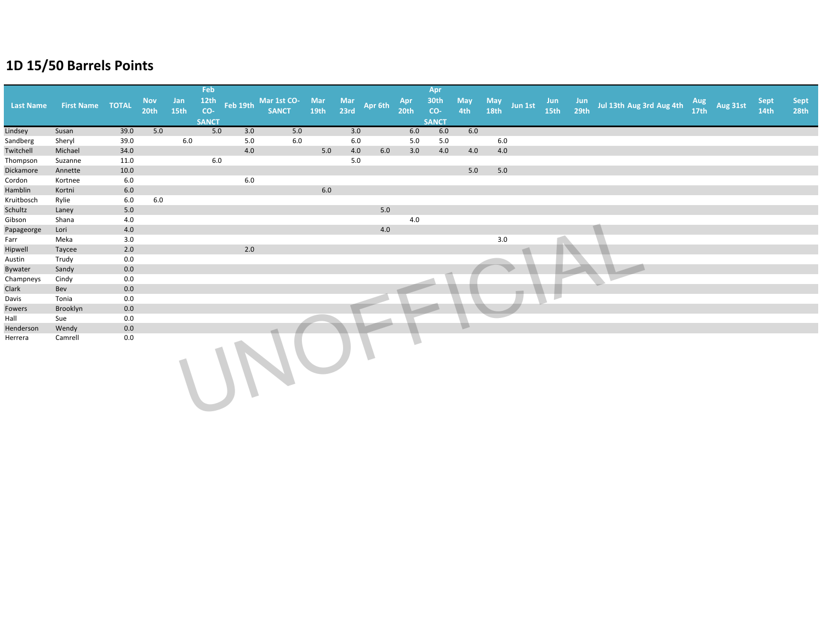|                  |                         |      |                  |      | Feb          |          |              |      |      |         |                  | Apr          |                |                  |         |      |                                      |                  |          |             |      |
|------------------|-------------------------|------|------------------|------|--------------|----------|--------------|------|------|---------|------------------|--------------|----------------|------------------|---------|------|--------------------------------------|------------------|----------|-------------|------|
|                  |                         |      | <b>Nov</b>       | Jan  | 12th         |          | Mar 1st CO-  | Mar  | Mar  |         | Apr              | 30th         | <b>May</b>     | May              | Jun 1st | Jun  |                                      | Aug              |          | <b>Sept</b> | Sept |
| <b>Last Name</b> | <b>First Name TOTAL</b> |      | 20 <sub>th</sub> | 15th | $co-$        | Feb 19th | <b>SANCT</b> | 19th | 23rd | Apr 6th | 20 <sub>th</sub> | CO-          | 4th            | 18 <sub>th</sub> |         | 15th | Jun<br>29th Jul 13th Aug 3rd Aug 4th | 17 <sup>th</sup> | Aug 31st | 14th        | 28th |
|                  |                         |      |                  |      | <b>SANCT</b> |          |              |      |      |         |                  | <b>SANCT</b> |                |                  |         |      |                                      |                  |          |             |      |
| Lindsey          | Susan                   | 39.0 | 5.0              |      | 5.0          | 3.0      | 5.0          |      | 3.0  |         | 6.0              | 6.0          | 6.0            |                  |         |      |                                      |                  |          |             |      |
| Sandberg         | Sheryl                  | 39.0 |                  | 6.0  |              | 5.0      | 6.0          |      | 6.0  |         | 5.0              | 5.0          |                | 6.0              |         |      |                                      |                  |          |             |      |
| Twitchell        | Michael                 | 34.0 |                  |      |              | 4.0      |              | 5.0  | 4.0  | 6.0     | 3.0              | 4.0          | 4.0            | 4.0              |         |      |                                      |                  |          |             |      |
| Thompson         | Suzanne                 | 11.0 |                  |      | 6.0          |          |              |      | 5.0  |         |                  |              |                |                  |         |      |                                      |                  |          |             |      |
| Dickamore        | Annette                 | 10.0 |                  |      |              |          |              |      |      |         |                  |              | 5.0            | 5.0              |         |      |                                      |                  |          |             |      |
| Cordon           | Kortnee                 | 6.0  |                  |      |              | 6.0      |              |      |      |         |                  |              |                |                  |         |      |                                      |                  |          |             |      |
| Hamblin          | Kortni                  | 6.0  |                  |      |              |          |              | 6.0  |      |         |                  |              |                |                  |         |      |                                      |                  |          |             |      |
| Kruitbosch       | Rylie                   | 6.0  | 6.0              |      |              |          |              |      |      |         |                  |              |                |                  |         |      |                                      |                  |          |             |      |
| Schultz          | Laney                   | 5.0  |                  |      |              |          |              |      |      | 5.0     |                  |              |                |                  |         |      |                                      |                  |          |             |      |
| Gibson           | Shana                   | 4.0  |                  |      |              |          |              |      |      |         | 4.0              |              |                |                  |         |      |                                      |                  |          |             |      |
| Papageorge       | Lori                    | 4.0  |                  |      |              |          |              |      |      | 4.0     |                  |              |                |                  |         |      |                                      |                  |          |             |      |
| Farr             | Meka                    | 3.0  |                  |      |              |          |              |      |      |         |                  |              |                | 3.0              |         |      |                                      |                  |          |             |      |
| Hipwell          | Taycee                  | 2.0  |                  |      |              | 2.0      |              |      |      |         |                  |              |                |                  |         |      |                                      |                  |          |             |      |
| Austin           | Trudy                   | 0.0  |                  |      |              |          |              |      |      |         |                  |              |                |                  |         |      |                                      |                  |          |             |      |
| Bywater          | Sandy                   | 0.0  |                  |      |              |          |              |      |      |         |                  |              |                |                  |         |      |                                      |                  |          |             |      |
| Champneys        | Cindy                   | 0.0  |                  |      |              |          |              |      |      |         |                  |              |                |                  |         |      |                                      |                  |          |             |      |
| Clark            | Bev                     | 0.0  |                  |      |              |          |              |      |      |         |                  |              |                |                  |         |      |                                      |                  |          |             |      |
| Davis            | Tonia                   | 0.0  |                  |      |              |          |              |      |      |         |                  |              |                |                  |         |      |                                      |                  |          |             |      |
| Fowers           | Brooklyn                | 0.0  |                  |      |              |          |              |      |      |         |                  |              |                |                  |         |      |                                      |                  |          |             |      |
| Hall             | Sue                     | 0.0  |                  |      |              |          |              |      |      |         |                  |              |                |                  |         |      |                                      |                  |          |             |      |
| Henderson        | Wendy                   | 0.0  |                  |      |              |          |              |      |      |         |                  |              | $\blacksquare$ |                  |         |      |                                      |                  |          |             |      |
| Herrera          | Camrell                 | 0.0  |                  |      |              |          |              |      |      |         |                  |              |                |                  |         |      |                                      |                  |          |             |      |
|                  |                         |      |                  |      |              |          |              |      |      |         |                  |              |                |                  |         |      |                                      |                  |          |             |      |
|                  |                         |      |                  |      |              |          |              |      |      |         |                  |              |                |                  |         |      |                                      |                  |          |             |      |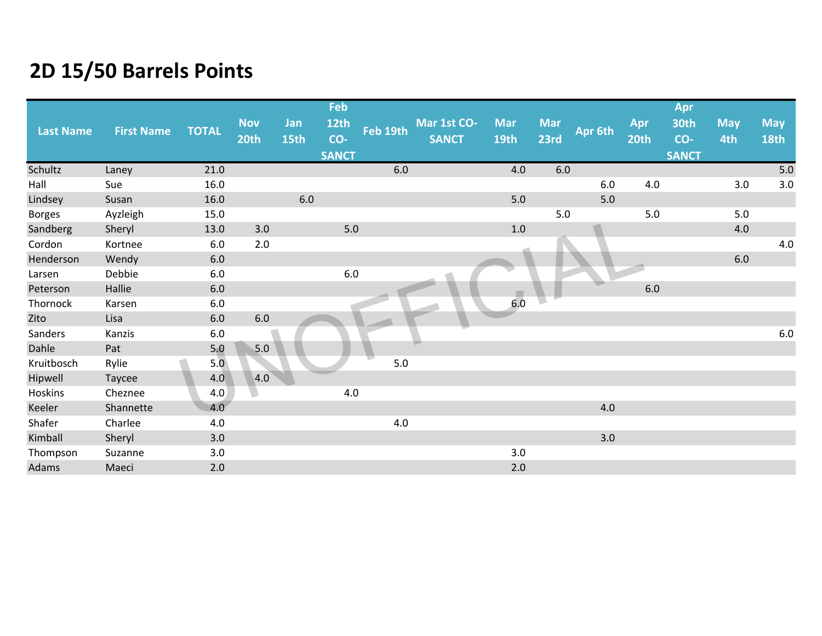|                  |                   |              |                    |             | Feb          |          |                             |                    |         |                    |         |             | Apr          |                   |                           |
|------------------|-------------------|--------------|--------------------|-------------|--------------|----------|-----------------------------|--------------------|---------|--------------------|---------|-------------|--------------|-------------------|---------------------------|
| <b>Last Name</b> | <b>First Name</b> | <b>TOTAL</b> | <b>Nov</b><br>20th | Jan<br>15th | 12th<br>CO-  | Feb 19th | Mar 1st CO-<br><b>SANCT</b> | <b>Mar</b><br>19th |         | <b>Mar</b><br>23rd | Apr 6th | Apr<br>20th | 30th<br>CO-  | <b>May</b><br>4th | <b>May</b><br><b>18th</b> |
|                  |                   |              |                    |             | <b>SANCT</b> |          |                             |                    |         |                    |         |             | <b>SANCT</b> |                   |                           |
| Schultz          | Laney             | 21.0         |                    |             |              | 6.0      |                             |                    | 4.0     | 6.0                |         |             |              |                   | $5.0\,$                   |
| Hall             | Sue               | 16.0         |                    |             |              |          |                             |                    |         |                    | 6.0     | 4.0         |              | 3.0               | $3.0\,$                   |
| Lindsey          | Susan             | 16.0         |                    | 6.0         |              |          |                             |                    | 5.0     |                    | 5.0     |             |              |                   |                           |
| <b>Borges</b>    | Ayzleigh          | 15.0         |                    |             |              |          |                             |                    |         | 5.0                |         | 5.0         |              | 5.0               |                           |
| Sandberg         | Sheryl            | 13.0         | 3.0                |             | 5.0          |          |                             |                    | $1.0\,$ |                    |         |             |              | 4.0               |                           |
| Cordon           | Kortnee           | 6.0          | 2.0                |             |              |          |                             |                    |         |                    |         |             |              |                   | 4.0                       |
| Henderson        | Wendy             | 6.0          |                    |             |              |          |                             |                    |         |                    |         |             |              | $6.0\,$           |                           |
| Larsen           | Debbie            | 6.0          |                    |             | 6.0          |          |                             |                    |         |                    |         |             |              |                   |                           |
| Peterson         | Hallie            | $6.0\,$      |                    |             |              |          |                             |                    |         |                    |         | 6.0         |              |                   |                           |
| Thornock         | Karsen            | $6.0\,$      |                    |             |              |          |                             |                    | 6.0     |                    |         |             |              |                   |                           |
| Zito             | Lisa              | $6.0$        | $6.0\,$            |             |              |          |                             |                    |         |                    |         |             |              |                   |                           |
| Sanders          | Kanzis            | $6.0\,$      |                    |             |              |          |                             |                    |         |                    |         |             |              |                   | $6.0\,$                   |
| Dahle            | Pat               | 5.0          | 5.0                |             |              |          |                             |                    |         |                    |         |             |              |                   |                           |
| Kruitbosch       | Rylie             | 5.0          |                    |             |              | 5.0      |                             |                    |         |                    |         |             |              |                   |                           |
| Hipwell          | Taycee            | 4.0          | 4.0                |             |              |          |                             |                    |         |                    |         |             |              |                   |                           |
| Hoskins          | Cheznee           | 4.0          |                    |             | 4.0          |          |                             |                    |         |                    |         |             |              |                   |                           |
| Keeler           | Shannette         | 4.0          |                    |             |              |          |                             |                    |         |                    | 4.0     |             |              |                   |                           |
| Shafer           | Charlee           | 4.0          |                    |             |              | 4.0      |                             |                    |         |                    |         |             |              |                   |                           |
| Kimball          | Sheryl            | 3.0          |                    |             |              |          |                             |                    |         |                    | 3.0     |             |              |                   |                           |
| Thompson         | Suzanne           | 3.0          |                    |             |              |          |                             |                    | 3.0     |                    |         |             |              |                   |                           |
| Adams            | Maeci             | 2.0          |                    |             |              |          |                             |                    | 2.0     |                    |         |             |              |                   |                           |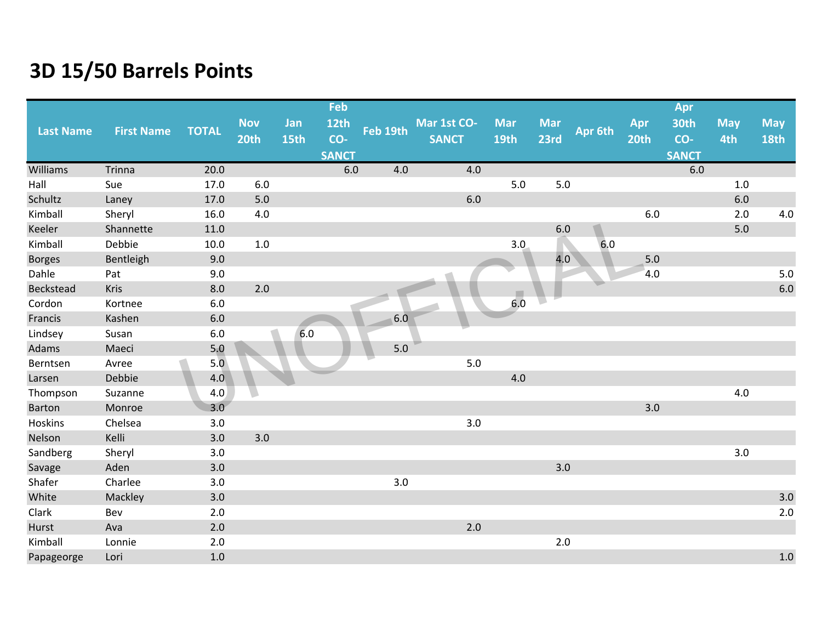|                  |                   |              |            |      | Feb          |          |              |             |            |         |       | Apr          |            |             |
|------------------|-------------------|--------------|------------|------|--------------|----------|--------------|-------------|------------|---------|-------|--------------|------------|-------------|
| <b>Last Name</b> | <b>First Name</b> | <b>TOTAL</b> | <b>Nov</b> | Jan  | <b>12th</b>  | Feb 19th | Mar 1st CO-  | <b>Mar</b>  | <b>Mar</b> | Apr 6th | Apr   | 30th         | <b>May</b> | <b>May</b>  |
|                  |                   |              | 20th       | 15th | CO-          |          | <b>SANCT</b> | <b>19th</b> | 23rd       |         | 20th  | CO-          | 4th        | <b>18th</b> |
|                  |                   |              |            |      | <b>SANCT</b> |          |              |             |            |         |       | <b>SANCT</b> |            |             |
| <b>Williams</b>  | Trinna            | 20.0         |            |      | 6.0          | 4.0      | 4.0          |             |            |         |       | 6.0          |            |             |
| Hall             | Sue               | 17.0         | 6.0        |      |              |          |              | $5.0$       | $5.0\,$    |         |       |              | 1.0        |             |
| Schultz          | Laney             | 17.0         | 5.0        |      |              |          | $6.0\,$      |             |            |         |       |              | $6.0\,$    |             |
| Kimball          | Sheryl            | 16.0         | 4.0        |      |              |          |              |             |            |         | 6.0   |              | 2.0        | $4.0\,$     |
| Keeler           | Shannette         | 11.0         |            |      |              |          |              |             | 6.0        |         |       |              | $5.0$      |             |
| Kimball          | Debbie            | 10.0         | 1.0        |      |              |          |              | 3.0         |            | 6.0     |       |              |            |             |
| <b>Borges</b>    | Bentleigh         | 9.0          |            |      |              |          |              |             | 4.0        |         | $5.0$ |              |            |             |
| Dahle            | Pat               | 9.0          |            |      |              |          |              |             |            |         | 4.0   |              |            | $5.0\,$     |
| Beckstead        | Kris              | 8.0          | 2.0        |      |              |          |              |             |            |         |       |              |            | $6.0\,$     |
| Cordon           | Kortnee           | $6.0\,$      |            |      |              |          |              | 6.0         |            |         |       |              |            |             |
| Francis          | Kashen            | 6.0          |            |      |              | 6.0      |              |             |            |         |       |              |            |             |
| Lindsey          | Susan             | 6.0          |            | 6.0  |              |          |              |             |            |         |       |              |            |             |
| Adams            | Maeci             | 5.0          |            |      |              | $5.0$    |              |             |            |         |       |              |            |             |
| Berntsen         | Avree             | 5.0          |            |      |              |          | 5.0          |             |            |         |       |              |            |             |
| Larsen           | Debbie            | 4.0          |            |      |              |          |              | 4.0         |            |         |       |              |            |             |
| Thompson         | Suzanne           | 4.0          |            |      |              |          |              |             |            |         |       |              | 4.0        |             |
| <b>Barton</b>    | Monroe            | 3.0          |            |      |              |          |              |             |            |         | 3.0   |              |            |             |
| Hoskins          | Chelsea           | 3.0          |            |      |              |          | 3.0          |             |            |         |       |              |            |             |
| Nelson           | Kelli             | 3.0          | 3.0        |      |              |          |              |             |            |         |       |              |            |             |
| Sandberg         | Sheryl            | 3.0          |            |      |              |          |              |             |            |         |       |              | 3.0        |             |
| Savage           | Aden              | 3.0          |            |      |              |          |              |             | 3.0        |         |       |              |            |             |
| Shafer           | Charlee           | 3.0          |            |      |              | 3.0      |              |             |            |         |       |              |            |             |
| White            | Mackley           | 3.0          |            |      |              |          |              |             |            |         |       |              |            | $3.0\,$     |
| Clark            | Bev               | 2.0          |            |      |              |          |              |             |            |         |       |              |            | $2.0$       |
| Hurst            | Ava               | 2.0          |            |      |              |          | 2.0          |             |            |         |       |              |            |             |
| Kimball          | Lonnie            | 2.0          |            |      |              |          |              |             | 2.0        |         |       |              |            |             |
| Papageorge       | Lori              | 1.0          |            |      |              |          |              |             |            |         |       |              |            | 1.0         |